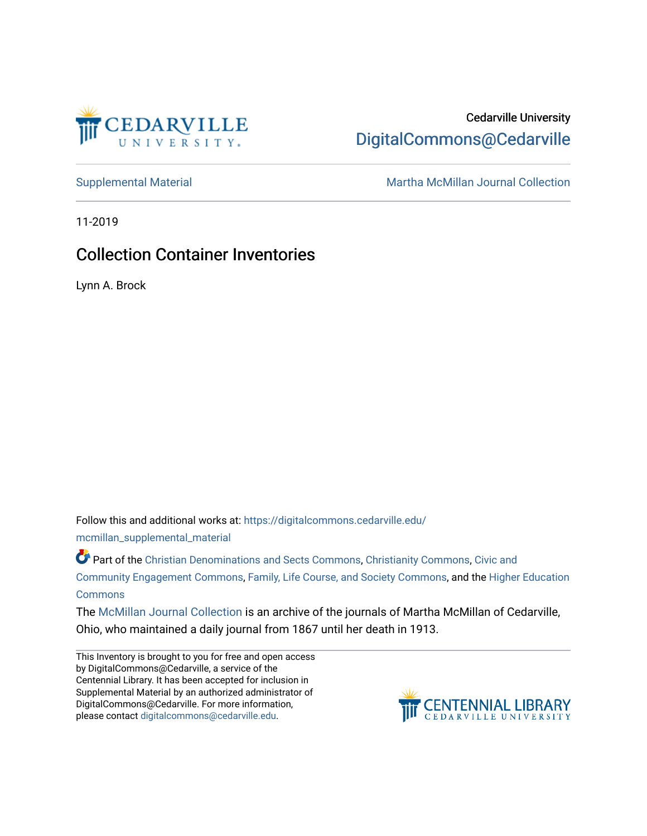

# Cedarville University [DigitalCommons@Cedarville](https://digitalcommons.cedarville.edu/)

[Supplemental Material](https://digitalcommons.cedarville.edu/mcmillan_supplemental_material) [Martha McMillan Journal Collection](https://digitalcommons.cedarville.edu/mcmillan_journal_collection) 

11-2019

# Collection Container Inventories

Lynn A. Brock

Follow this and additional works at: [https://digitalcommons.cedarville.edu/](https://digitalcommons.cedarville.edu/mcmillan_supplemental_material?utm_source=digitalcommons.cedarville.edu%2Fmcmillan_supplemental_material%2F16&utm_medium=PDF&utm_campaign=PDFCoverPages)

[mcmillan\\_supplemental\\_material](https://digitalcommons.cedarville.edu/mcmillan_supplemental_material?utm_source=digitalcommons.cedarville.edu%2Fmcmillan_supplemental_material%2F16&utm_medium=PDF&utm_campaign=PDFCoverPages) 

Part of the [Christian Denominations and Sects Commons,](http://network.bepress.com/hgg/discipline/1184?utm_source=digitalcommons.cedarville.edu%2Fmcmillan_supplemental_material%2F16&utm_medium=PDF&utm_campaign=PDFCoverPages) [Christianity Commons,](http://network.bepress.com/hgg/discipline/1181?utm_source=digitalcommons.cedarville.edu%2Fmcmillan_supplemental_material%2F16&utm_medium=PDF&utm_campaign=PDFCoverPages) Civic and [Community Engagement Commons](http://network.bepress.com/hgg/discipline/1028?utm_source=digitalcommons.cedarville.edu%2Fmcmillan_supplemental_material%2F16&utm_medium=PDF&utm_campaign=PDFCoverPages), [Family, Life Course, and Society Commons,](http://network.bepress.com/hgg/discipline/419?utm_source=digitalcommons.cedarville.edu%2Fmcmillan_supplemental_material%2F16&utm_medium=PDF&utm_campaign=PDFCoverPages) and the [Higher Education](http://network.bepress.com/hgg/discipline/1245?utm_source=digitalcommons.cedarville.edu%2Fmcmillan_supplemental_material%2F16&utm_medium=PDF&utm_campaign=PDFCoverPages) **[Commons](http://network.bepress.com/hgg/discipline/1245?utm_source=digitalcommons.cedarville.edu%2Fmcmillan_supplemental_material%2F16&utm_medium=PDF&utm_campaign=PDFCoverPages)** 

The [McMillan Journal Collection](http://digitalcommons.cedarville.edu/mcmillan_journal_collection/) is an archive of the journals of Martha McMillan of Cedarville, Ohio, who maintained a daily journal from 1867 until her death in 1913.

This Inventory is brought to you for free and open access by DigitalCommons@Cedarville, a service of the Centennial Library. It has been accepted for inclusion in Supplemental Material by an authorized administrator of DigitalCommons@Cedarville. For more information, please contact [digitalcommons@cedarville.edu](mailto:digitalcommons@cedarville.edu).

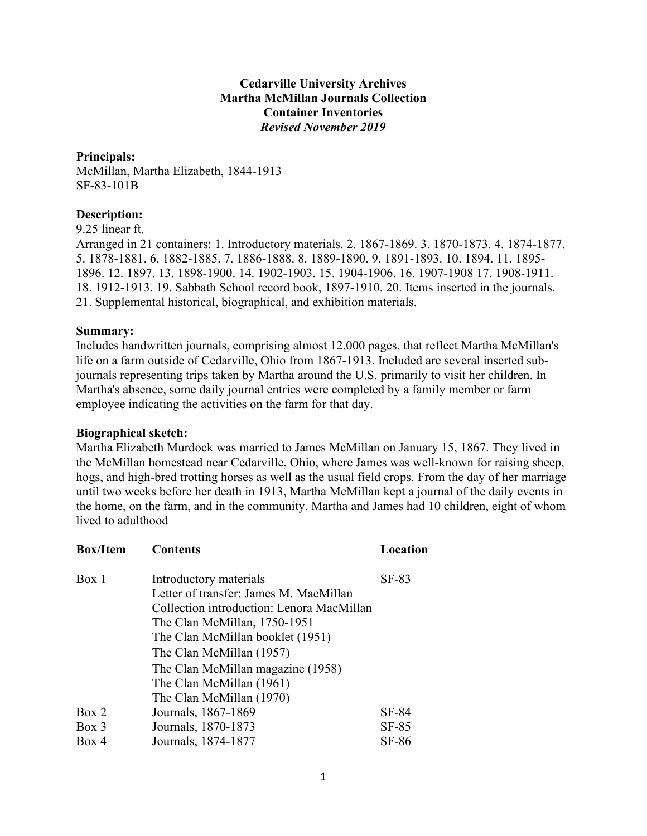### **Cedarville University Archives Martha McMillan Journals Collection Container Inventories** *Revised November 2019*

#### **Principals:**

McMillan, Martha Elizabeth, 1844-1913 SF-83-101B

### **Description:**

9.25 linear ft.

Arranged in 21 containers: 1. Introductory materials. 2. 1867-1869. 3. 1870-1873. 4. 1874-1877. 5. 1878-1881. 6. 1882-1885. 7. 1886-1888. 8. 1889-1890. 9. 1891-1893. 10. 1894. 11. 1895- 1896. 12. 1897. 13. 1898-1900. 14. 1902-1903. 15. 1904-1906. 16. 1907-1908 17. 1908-1911. 18. 1912-1913. 19. Sabbath School record book, 1897-1910. 20. Items inserted in the journals. 21. Supplemental historical, biographical, and exhibition materials.

### **Summary:**

Includes handwritten journals, comprising almost 12,000 pages, that reflect Martha McMillan's life on a farm outside of Cedarville, Ohio from 1867-1913. Included are several inserted subjournals representing trips taken by Martha around the U.S. primarily to visit her children. In Martha's absence, some daily journal entries were completed by a family member or farm employee indicating the activities on the farm for that day.

#### **Biographical sketch:**

Martha Elizabeth Murdock was married to James McMillan on January 15, 1867. They lived in the McMillan homestead near Cedarville, Ohio, where James was well-known for raising sheep, hogs, and high-bred trotting horses as well as the usual field crops. From the day of her marriage until two weeks before her death in 1913, Martha McMillan kept a journal of the daily events in the home, on the farm, and in the community. Martha and James had 10 children, eight of whom lived to adulthood

| <b>Box/Item</b> | <b>Contents</b>                           | Location |
|-----------------|-------------------------------------------|----------|
| Box 1           | Introductory materials                    | $SF-83$  |
|                 | Letter of transfer: James M. MacMillan    |          |
|                 | Collection introduction: Lenora MacMillan |          |
|                 | The Clan McMillan, 1750-1951              |          |
|                 | The Clan McMillan booklet (1951)          |          |
|                 | The Clan McMillan (1957)                  |          |
|                 | The Clan McMillan magazine (1958)         |          |
|                 | The Clan McMillan (1961)                  |          |
|                 | The Clan McMillan (1970)                  |          |
| Box 2           | Journals, 1867-1869                       | SF-84    |
| $Box\ 3$        | Journals, 1870-1873                       | $SF-85$  |
| Box 4           | Journals, 1874-1877                       | $SF-86$  |